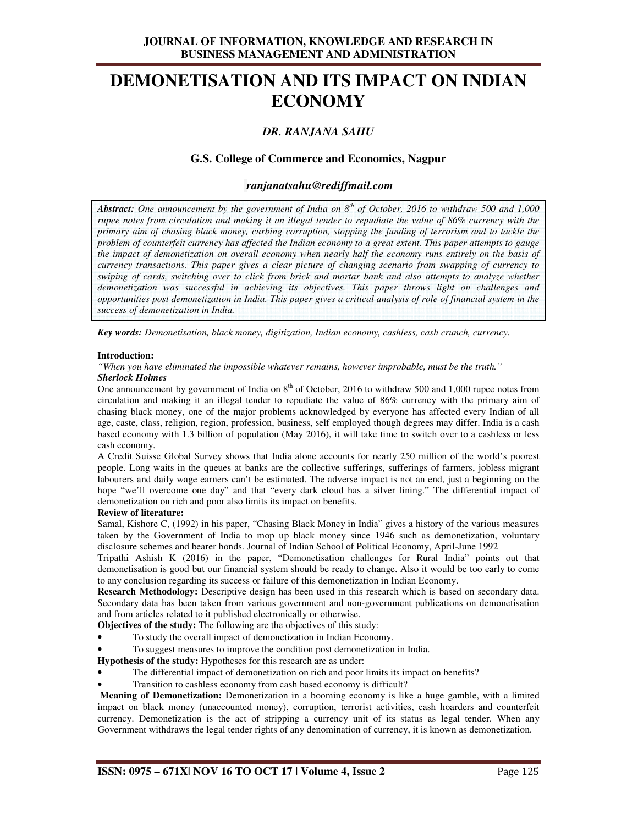# **JOURNAL OF INFORMATION, KNOWLEDGE AND RESEARCH IN BUSINESS MANAGEMENT AND ADMINISTRATION**

# **DEMONETISATION AND ITS IMPACT ON INDIAN ECONOMY**

# *DR. RANJANA SAHU*

# **G.S. College of Commerce and Economics, Nagpur**

## *ranjanatsahu@rediffmail.com*

*Abstract: One announcement by the government of India on 8th of October, 2016 to withdraw 500 and 1,000 rupee notes from circulation and making it an illegal tender to repudiate the value of 86% currency with the primary aim of chasing black money, curbing corruption, stopping the funding of terrorism and to tackle the problem of counterfeit currency has affected the Indian economy to a great extent. This paper attempts to gauge the impact of demonetization on overall economy when nearly half the economy runs entirely on the basis of currency transactions. This paper gives a clear picture of changing scenario from swapping of currency to swiping of cards, switching over to click from brick and mortar bank and also attempts to analyze whether demonetization was successful in achieving its objectives. This paper throws light on challenges and opportunities post demonetization in India. This paper gives a critical analysis of role of financial system in the success of demonetization in India.* 

*Key words: Demonetisation, black money, digitization, Indian economy, cashless, cash crunch, currency.* 

#### **Introduction:**

*"When you have eliminated the impossible whatever remains, however improbable, must be the truth."* 

#### *Sherlock Holmes*

One announcement by government of India on  $8<sup>th</sup>$  of October, 2016 to withdraw 500 and 1,000 rupee notes from circulation and making it an illegal tender to repudiate the value of 86% currency with the primary aim of chasing black money, one of the major problems acknowledged by everyone has affected every Indian of all age, caste, class, religion, region, profession, business, self employed though degrees may differ. India is a cash based economy with 1.3 billion of population (May 2016), it will take time to switch over to a cashless or less cash economy.

A Credit Suisse Global Survey shows that India alone accounts for nearly 250 million of the world's poorest people. Long waits in the queues at banks are the collective sufferings, sufferings of farmers, jobless migrant labourers and daily wage earners can't be estimated. The adverse impact is not an end, just a beginning on the hope "we'll overcome one day" and that "every dark cloud has a silver lining." The differential impact of demonetization on rich and poor also limits its impact on benefits.

## **Review of literature:**

Samal, Kishore C, (1992) in his paper, "Chasing Black Money in India" gives a history of the various measures taken by the Government of India to mop up black money since 1946 such as demonetization, voluntary disclosure schemes and bearer bonds. Journal of Indian School of Political Economy, April-June 1992

Tripathi Ashish K (2016) in the paper, "Demonetisation challenges for Rural India" points out that demonetisation is good but our financial system should be ready to change. Also it would be too early to come to any conclusion regarding its success or failure of this demonetization in Indian Economy.

**Research Methodology:** Descriptive design has been used in this research which is based on secondary data. Secondary data has been taken from various government and non-government publications on demonetisation and from articles related to it published electronically or otherwise.

**Objectives of the study:** The following are the objectives of this study:

- To study the overall impact of demonetization in Indian Economy.
- To suggest measures to improve the condition post demonetization in India.

**Hypothesis of the study:** Hypotheses for this research are as under:

- The differential impact of demonetization on rich and poor limits its impact on benefits?
- Transition to cashless economy from cash based economy is difficult?

**Meaning of Demonetization:** Demonetization in a booming economy is like a huge gamble, with a limited impact on black money (unaccounted money), corruption, terrorist activities, cash hoarders and counterfeit currency. Demonetization is the act of stripping a currency unit of its status as legal tender. When any Government withdraws the legal tender rights of any denomination of currency, it is known as demonetization.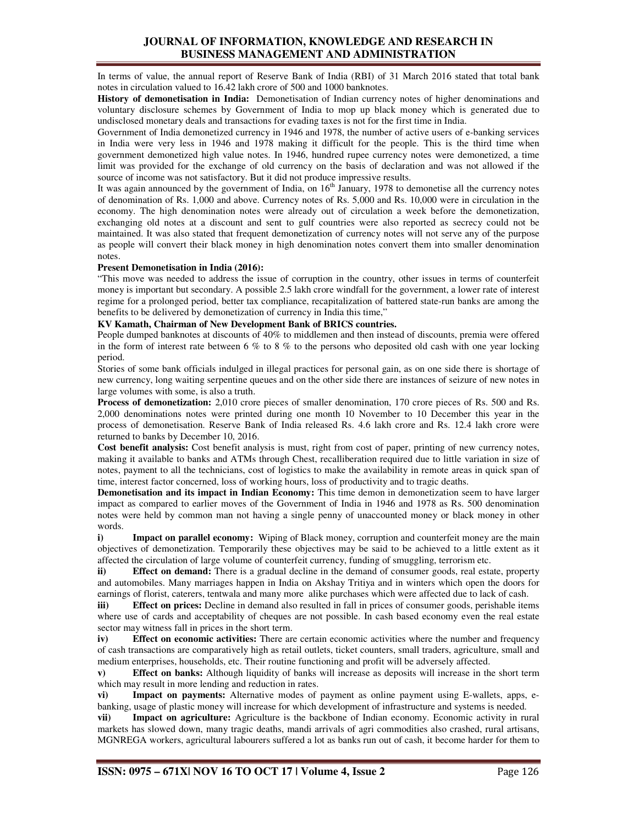# **JOURNAL OF INFORMATION, KNOWLEDGE AND RESEARCH IN BUSINESS MANAGEMENT AND ADMINISTRATION**

In terms of value, the annual report of Reserve Bank of India (RBI) of 31 March 2016 stated that total bank notes in circulation valued to 16.42 lakh crore of 500 and 1000 banknotes.

**History of demonetisation in India:** Demonetisation of Indian currency notes of higher denominations and voluntary disclosure schemes by Government of India to mop up black money which is generated due to undisclosed monetary deals and transactions for evading taxes is not for the first time in India.

Government of India demonetized currency in 1946 and 1978, the number of active users of e-banking services in India were very less in 1946 and 1978 making it difficult for the people. This is the third time when government demonetized high value notes. In 1946, hundred rupee currency notes were demonetized, a time limit was provided for the exchange of old currency on the basis of declaration and was not allowed if the source of income was not satisfactory. But it did not produce impressive results.

It was again announced by the government of India, on  $16<sup>th</sup>$  January, 1978 to demonetise all the currency notes of denomination of Rs. 1,000 and above. Currency notes of Rs. 5,000 and Rs. 10,000 were in circulation in the economy. The high denomination notes were already out of circulation a week before the demonetization, exchanging old notes at a discount and sent to gulf countries were also reported as secrecy could not be maintained. It was also stated that frequent demonetization of currency notes will not serve any of the purpose as people will convert their black money in high denomination notes convert them into smaller denomination notes.

#### **Present Demonetisation in India (2016):**

"This move was needed to address the issue of corruption in the country, other issues in terms of counterfeit money is important but secondary. A possible 2.5 lakh crore windfall for the government, a lower rate of interest regime for a prolonged period, better tax compliance, recapitalization of battered state-run banks are among the benefits to be delivered by demonetization of currency in India this time,"

## **KV Kamath, Chairman of New Development Bank of BRICS countries.**

People dumped banknotes at discounts of 40% to middlemen and then instead of discounts, premia were offered in the form of interest rate between 6 % to 8 % to the persons who deposited old cash with one year locking period.

Stories of some bank officials indulged in illegal practices for personal gain, as on one side there is shortage of new currency, long waiting serpentine queues and on the other side there are instances of seizure of new notes in large volumes with some, is also a truth.

**Process of demonetization:** 2,010 crore pieces of smaller denomination, 170 crore pieces of Rs. 500 and Rs. 2,000 denominations notes were printed during one month 10 November to 10 December this year in the process of demonetisation. Reserve Bank of India released Rs. 4.6 lakh crore and Rs. 12.4 lakh crore were returned to banks by December 10, 2016.

**Cost benefit analysis:** Cost benefit analysis is must, right from cost of paper, printing of new currency notes, making it available to banks and ATMs through Chest, recalliberation required due to little variation in size of notes, payment to all the technicians, cost of logistics to make the availability in remote areas in quick span of time, interest factor concerned, loss of working hours, loss of productivity and to tragic deaths.

**Demonetisation and its impact in Indian Economy:** This time demon in demonetization seem to have larger impact as compared to earlier moves of the Government of India in 1946 and 1978 as Rs. 500 denomination notes were held by common man not having a single penny of unaccounted money or black money in other words.

**i) <b>Impact on parallel economy:** Wiping of Black money, corruption and counterfeit money are the main objectives of demonetization. Temporarily these objectives may be said to be achieved to a little extent as it affected the circulation of large volume of counterfeit currency, funding of smuggling, terrorism etc.

**ii) Effect on demand:** There is a gradual decline in the demand of consumer goods, real estate, property and automobiles. Many marriages happen in India on Akshay Tritiya and in winters which open the doors for earnings of florist, caterers, tentwala and many more alike purchases which were affected due to lack of cash.

**iii) Effect on prices:** Decline in demand also resulted in fall in prices of consumer goods, perishable items where use of cards and acceptability of cheques are not possible. In cash based economy even the real estate sector may witness fall in prices in the short term.

**iv) Effect on economic activities:** There are certain economic activities where the number and frequency of cash transactions are comparatively high as retail outlets, ticket counters, small traders, agriculture, small and medium enterprises, households, etc. Their routine functioning and profit will be adversely affected.

**v) Effect on banks:** Although liquidity of banks will increase as deposits will increase in the short term which may result in more lending and reduction in rates.

**vi) Impact on payments:** Alternative modes of payment as online payment using E-wallets, apps, ebanking, usage of plastic money will increase for which development of infrastructure and systems is needed.

**vii) Impact on agriculture:** Agriculture is the backbone of Indian economy. Economic activity in rural markets has slowed down, many tragic deaths, mandi arrivals of agri commodities also crashed, rural artisans, MGNREGA workers, agricultural labourers suffered a lot as banks run out of cash, it become harder for them to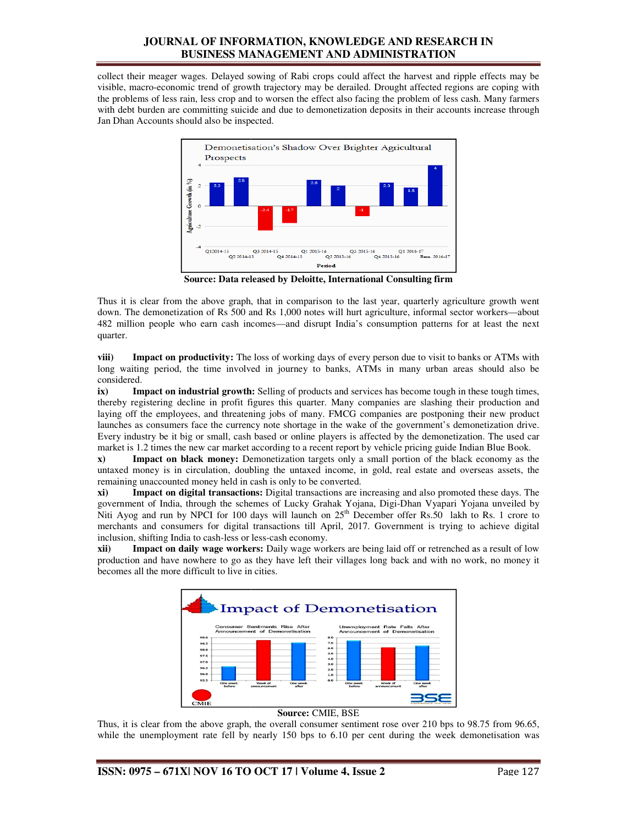# **JOURNAL OF INFORMATION, KNOWLEDGE AND RESEARCH IN BUSINESS MANAGEMENT AND ADMINISTRATION**

collect their meager wages. Delayed sowing of Rabi crops could affect the harvest and ripple effects may be collect their meager wages. Delayed sowing of Rabi crops could affect the harvest and ripple effects may be visible, macro-economic trend of growth trajectory may be derailed. Drought affected regions are coping with the problems of less rain, less crop and to worsen the effect also facing the problem of less cash. Many farmers with debt burden are committing suicide and due to demonetization deposits in their accounts increase through Jan Dhan Accounts should also be inspected.



**Source: Data released by Deloitte, International Consulting firm** 

Thus it is clear from the above graph, that in comparison to the last year, quarterly agriculture growth went Thus it is clear from the above graph, that in comparison to the last year, quarterly agriculture growth went down. The demonetization of Rs 500 and Rs 1,000 notes will hurt agriculture, informal sector workers—about 482 million people who earn cash incomes incomes—and disrupt India's consumption patterns for at least the next quarter.

**viii) Impact on productivity:** The loss of working days of every person due to visit to banks or ATMs with **iii)** Impact on productivity: The loss of working days of every person due to visit to banks or ATMs with long waiting period, the time involved in journey to banks, ATMs in many urban areas should also be considered.

**ix)** Impact on industrial growth: Selling of products and services has become tough in these tough times, thereby registering decline in profit figures this quarter. Many companies are slashing their production and laying off the employees, and threatening jobs of many. FMCG companies are postponing their new product launches as consumers face the currency note shortage in the wake of the government's demonetization drive. launches as consumers face the currency note shortage in the wake of the government's demonetization drive.<br>Every industry be it big or small, cash based or online players is affected by the demonetization. The used car market is 1.2 times the new car market according to a recent report by vehicle pricing guide Indian Blue Book. waiting period, the time involved in journey to banks, ATMs in many urban areas should also be dered.<br> **Impact on industrial growth:** Selling of products and services has become tough in these tough times, by registering d

market is 1.2 times the new car market according to a recent report by vehicle pricing guide Indian Blue B<br>**x**) **Impact on black money:** Demonetization targets only a small portion of the black economy untaxed money is in circulation, doubling the untaxed income, in gold, real estate and overseas assets, the remaining unaccounted money held in cash is only to be converted. remaining unaccounted money held in cash is only to be converted.

**xi)** Impact on digital transactions: Digital transactions are increasing and also promoted these days. The government of India, through the schemes of Lucky Grahak Yojana, Digi Yojana, Digi-Dhan Vyapari Yojana unveiled by Niti Ayog and run by NPCI for 100 days will launch on  $25<sup>th</sup>$  December offer Rs.50 lakh to Rs. 1 crore to merchants and consumers for digital transactions till April, 2017. Government is trying to achieve inclusion, shifting India to cash-less or less-cash economy. Dhan Vyapari Yojana unveiled by<br>offer Rs.50 lakh to Rs. 1 crore to<br>nment is trying to achieve digital

**xii) Impact on daily wage workers:**  Daily wage workers are being laid off or retrenched as a result of low production and have nowhere to go as they have left their villages long back and with no work, no money it becomes all the more difficult to live in cities. becomes all the more difficult to live in



## **Source:** CMIE, BSE

Thus, it is clear from the above graph, the overall consumer sentiment rose over 210 bps to 98.75 from 96.65, Thus, it is clear from the above graph, the overall consumer sentiment rose over 210 bps to 98.75 from 96.65, while the unemployment rate fell by nearly 150 bps to 6.10 per cent during the week demonetisation was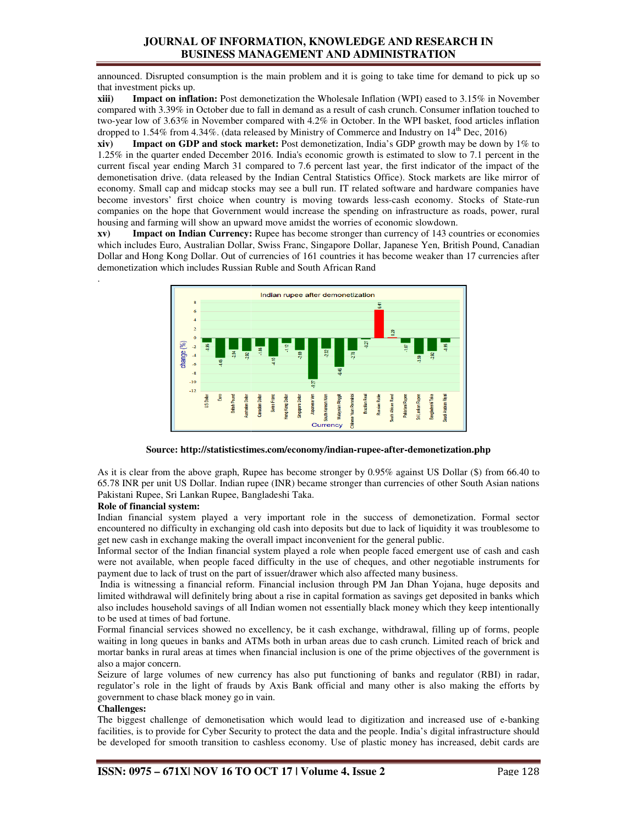# **JOURNAL OF INFORMATION, KNOWLEDGE AND RESEARCH IN BUSINESS MANAGEMENT AND ADMINISTRATION**

announced. Disrupted consumption is the main problem and it is going to take time for demand to pick up so that investment picks up.

**xiii)** Impact on inflation: Post demonetization the Wholesale Inflation (WPI) eased to 3.15% in November compared with 3.39% in October due to fall in demand as a result of cash crunch. Consumer inflation touched to two-year low of 3.63% in November compared with 4.2% in October. In the WPI basket, food articles inflation dropped to 1.54% from 4.34%. (data released by Ministry of Commerce and Industry on  $14^{\text{th}}$  Dec, 2016 n problem and it is going to take time for demand to pick up<br>ation the Wholesale Inflation (WPI) eased to 3.15% in Novemb<br>demand as a result of cash crunch. Consumer inflation touched<br>d with 4.2% in October. In the WPI ba

**xiv)** Impact on GDP and stock market: Post demonetization, India's GDP growth may be down by 1% to 1.25% in the quarter ended December 2016. 2016. India's economic growth is estimated to slow to 7.1 percent in the current fiscal year ending March 31 compared to 7.6 percent last year, the first indicator of the impact of the demonetisation drive. (data released by the Indian Central Statistics Office). Stock markets are like mirror of economy. Small cap and midcap stocks may see a bull run. IT related software and hardware companies have become investors' first choice when country is moving towards less-cash economy. Stocks of State companies on the hope that Government would increase the spending on infrastructure as roads, power, rural housing and farming will show an upward move amidst the worries of economic slowdown.  demonetization, India's GDP growth may be down by 1% to seconomic growth is estimated to slow to 7.1 percent in the 7.6 percent last year, the first indicator of the impact of the Central Statistics Office). Stock markets

**xv)** Impact on Indian Currency: Rupee has become stronger than currency of 143 countries or economies xv) Impact on Indian Currency: Rupee has become stronger than currency of 143 countries or economies which includes Euro, Australian Dollar, Swiss Franc, Singapore Dollar, Japanese Yen, British Pound, Canadian which includes Euro, Australian Dollar, Swiss Franc, Singapore Dollar, Japanese Yen, British Pound, Canadian<br>Dollar and Hong Kong Dollar. Out of currencies of 161 countries it has become weaker than 17 currencies after demonetization which includes Russian Ruble and South African Rand



#### Source: http://statisticstimes.com/economy/indian-rupee-after-demonetization.php

As it is clear from the above graph, Rupee has become stronger by 0.95% against US Dollar (\$) from 66.40 to 65.78 INR per unit US Dollar. Indian rupee (INR) became stronger than currencies of other South Asian nations Pakistani Rupee, Sri Lankan Rupee, Bangladeshi Taka. it is clear from the above graph, Rupee has become stronger by 0.95% against US Dollar (\$) from 66.40 to<br>78 INR per unit US Dollar. Indian rupee (INR) became stronger than currencies of other South Asian nations<br>istani Rup

#### **Role of financial system:**

.

Indian financial system played a very important role in the success of demonetization. Formal sector encountered no difficulty in exchanging old cash into deposits but due to lack of liquidity it was troublesome to get new cash in exchange making the overall impact inconvenient for the general public. WR per unit US Dollar. Indian rupee (INR) became stronger than currencies of other South Asian nations<br>ii Rupee, Sri Lankan Rupee, Bangladeshi Taka.<br>**financial system:**<br>financial system played a very important role in the

Informal sector of the Indian financial system played a role when people faced emergent use of cash and cash were not available, when people faced difficulty in the use of cheques, and other negotiable instru payment due to lack of trust on the part of issuer/drawer which also affected many business. a faced emergent use of cash and cash not available, when people faced difficulty in the use of cheques, and other negotiable instruments for ent due to lack of trust on the part of issuer/drawer which also affected many b

India is witnessing a financial reform. Financial inclusion through PM Jan Dhan Yojana, huge deposits and limited withdrawal will definitely bring about a rise in capital formation as savings get deposited in banks which also includes household savings of all Indian women not essentially black money which they keep intentionally to be used at times of bad fortune. also includes household savings of all Indian women not essentially black money which they keep intentionally<br>to be used at times of bad fortune.<br>Formal financial services showed no excellency, be it cash exchange, withdra essing a financial reform. Financial inclusion through PM Jan Dhan Yojana, huge deposits and<br>rawal will definitely bring about a rise in capital formation as savings get deposited in banks which<br>household savings of all In

waiting in long queues in banks and ATMs both in urban areas due to cash crunch. Limited reach of brick and waiting in long queues in banks and ATMs both in urban areas due to cash crunch. Limited reach of brick and<br>mortar banks in rural areas at times when financial inclusion is one of the prime objectives of the government is also a major concern.

Seizure of large volumes of new currency has also put functioning of banks and regulator (RBI) in radar, Seizure of large volumes of new currency has also put functioning of banks and regulator (regulator's role in the light of frauds by Axis Bank official and many other is also making government to chase black money go in vain.

#### **Challenges:**

The biggest challenge of demonetisation which would lead to digitization and increased use of e facilities, is to provide for Cyber Security to protect the data and the people. India's digital infrastructure should be developed for smooth transition to cashless economy. Use of plastic money has increased, debit cards are government to chase black money go in vain.<br>Challenges:<br>The biggest challenge of demonetisation which would lead to digitization and increased use of e-banking<br>facilities, is to provide for Cyber Security to protect the da challenge of demonetisation which would lead to digitization and increased use of e-banking